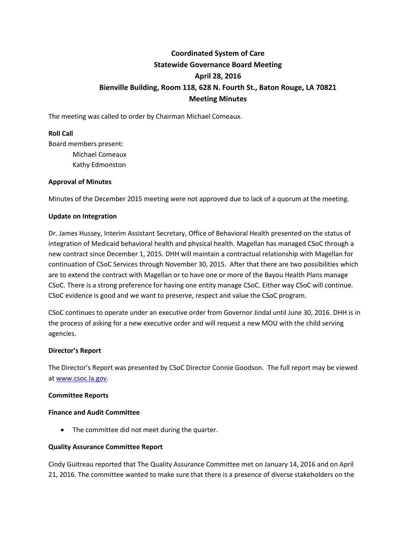# **Coordinated System of Care Statewide Governance Board Meeting April 28, 2016 Bienville Building, Room 118, 628 N. Fourth St., Baton Rouge, LA 70821 Meeting Minutes**

The meeting was called to order by Chairman Michael Comeaux.

## **Roll Call**

Board members present: Michael Comeaux Kathy Edmonston

## **Approval of Minutes**

Minutes of the December 2015 meeting were not approved due to lack of a quorum at the meeting.

#### **Update on Integration**

Dr. James Hussey, Interim Assistant Secretary, Office of Behavioral Health presented on the status of integration of Medicaid behavioral health and physical health. Magellan has managed CSoC through a new contract since December 1, 2015. DHH will maintain a contractual relationship with Magellan for continuation of CSoC Services through November 30, 2015. After that there are two possibilities which are to extend the contract with Magellan or to have one or more of the Bayou Health Plans manage CSoC. There is a strong preference for having one entity manage CSoC. Either way CSoC will continue. CSoC evidence is good and we want to preserve, respect and value the CSoC program.

CSoC continues to operate under an executive order from Governor Jindal until June 30, 2016. DHH is in the process of asking for a new executive order and will request a new MOU with the child serving agencies.

#### **Director's Report**

The Director's Report was presented by CSoC Director Connie Goodson. The full report may be viewed a[t www.csoc.la.gov.](http://www.csoc.la.gov/)

#### **Committee Reports**

#### **Finance and Audit Committee**

• The committee did not meet during the quarter.

#### **Quality Assurance Committee Report**

Cindy Guitreau reported that The Quality Assurance Committee met on January 14, 2016 and on April 21, 2016. The committee wanted to make sure that there is a presence of diverse stakeholders on the